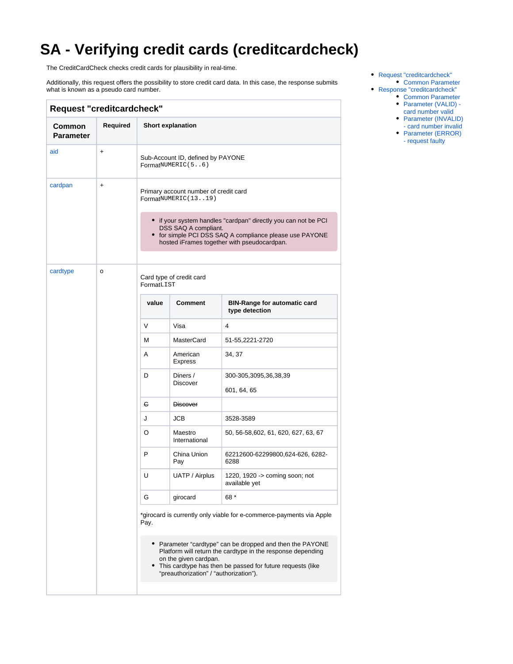## **SA - Verifying credit cards (creditcardcheck)**

The CreditCardCheck checks credit cards for plausibility in real-time.

Additionally, this request offers the possibility to store credit card data. In this case, the response submits what is known as a pseudo card number.

<span id="page-0-1"></span><span id="page-0-0"></span>

| <b>Request "creditcardcheck"</b> |                                                                              |                               |                                                                                                                                                                                                                                                             |                                                                                                                                                                          |
|----------------------------------|------------------------------------------------------------------------------|-------------------------------|-------------------------------------------------------------------------------------------------------------------------------------------------------------------------------------------------------------------------------------------------------------|--------------------------------------------------------------------------------------------------------------------------------------------------------------------------|
| Common<br><b>Parameter</b>       | Required                                                                     |                               | Short explanation                                                                                                                                                                                                                                           |                                                                                                                                                                          |
| aid                              | $\ddot{}$                                                                    |                               | Sub-Account ID, defined by PAYONE<br>FormatNUMERIC(56)                                                                                                                                                                                                      |                                                                                                                                                                          |
| cardpan                          | $\ddot{}$                                                                    |                               | Primary account number of credit card<br>FormatNUMERIC(1319)<br>DSS SAQ A compliant.                                                                                                                                                                        | • if your system handles "cardpan" directly you can not be PCI<br>• for simple PCI DSS SAQ A compliance please use PAYONE<br>hosted iFrames together with pseudocardpan. |
| cardtype                         | o                                                                            | FormatLIST                    | Card type of credit card                                                                                                                                                                                                                                    |                                                                                                                                                                          |
|                                  |                                                                              | value                         | Comment                                                                                                                                                                                                                                                     | <b>BIN-Range for automatic card</b><br>type detection                                                                                                                    |
|                                  |                                                                              | V                             | Visa                                                                                                                                                                                                                                                        | 4                                                                                                                                                                        |
|                                  |                                                                              | М                             | <b>MasterCard</b>                                                                                                                                                                                                                                           | 51-55,2221-2720                                                                                                                                                          |
|                                  | American<br>A<br>34, 37<br><b>Express</b>                                    |                               |                                                                                                                                                                                                                                                             |                                                                                                                                                                          |
|                                  |                                                                              | D                             | Diners /<br><b>Discover</b>                                                                                                                                                                                                                                 | 300-305,3095,36,38,39<br>601, 64, 65                                                                                                                                     |
|                                  |                                                                              | C.                            | <b>Discover</b>                                                                                                                                                                                                                                             |                                                                                                                                                                          |
|                                  |                                                                              | J                             | <b>JCB</b>                                                                                                                                                                                                                                                  | 3528-3589                                                                                                                                                                |
|                                  |                                                                              | O<br>Maestro<br>International | 50, 56-58, 602, 61, 620, 627, 63, 67                                                                                                                                                                                                                        |                                                                                                                                                                          |
|                                  |                                                                              | P                             | China Union<br>Pay                                                                                                                                                                                                                                          | 62212600-62299800,624-626, 6282-<br>6288                                                                                                                                 |
|                                  |                                                                              | U                             | UATP / Airplus                                                                                                                                                                                                                                              | 1220, 1920 -> coming soon; not<br>available yet                                                                                                                          |
|                                  |                                                                              | G                             | girocard                                                                                                                                                                                                                                                    | 68 *                                                                                                                                                                     |
|                                  | *girocard is currently only viable for e-commerce-payments via Apple<br>Pay. |                               |                                                                                                                                                                                                                                                             |                                                                                                                                                                          |
|                                  |                                                                              |                               | • Parameter "cardtype" can be dropped and then the PAYONE<br>Platform will return the cardtype in the response depending<br>on the given cardpan.<br>• This cardtype has then be passed for future requests (like<br>"preauthorization" / "authorization"). |                                                                                                                                                                          |
|                                  |                                                                              |                               |                                                                                                                                                                                                                                                             |                                                                                                                                                                          |

- [Request "creditcardcheck"](#page-0-0) • [Common Parameter](#page-0-1)
- [Response "creditcardcheck"](#page-1-0)
	- [Common Parameter](#page-1-1) [Parameter \(VALID\) -](#page-1-2)
	- [card number valid](#page-1-2)
	- Parameter (INVALID)
	- [card number invalid](#page-2-0)
	- Parameter (ERROR) [- request faulty](#page-2-1)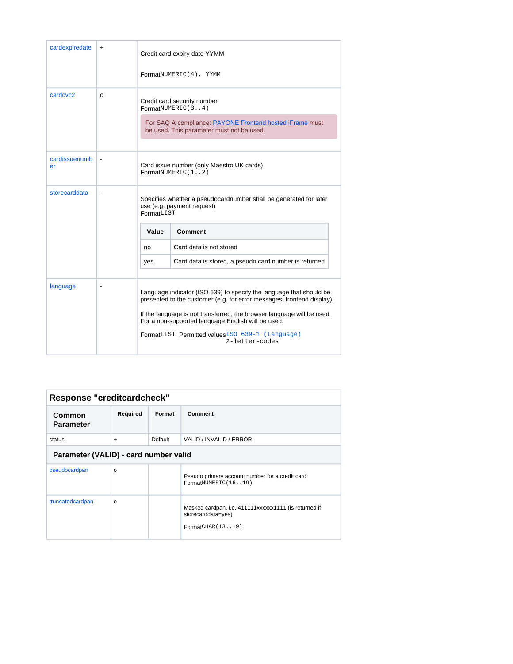| cardexpiredate       | $\ddot{}$      |            | Credit card expiry date YYMM<br>FormatNUMERIC(4), YYMM                                                                                                                                                                                                                                                                                             |
|----------------------|----------------|------------|----------------------------------------------------------------------------------------------------------------------------------------------------------------------------------------------------------------------------------------------------------------------------------------------------------------------------------------------------|
| cardcyc <sub>2</sub> | $\Omega$       |            | Credit card security number<br>FormatNUMERIC(34)<br>For SAQ A compliance: PAYONE Frontend hosted iFrame must<br>be used. This parameter must not be used.                                                                                                                                                                                          |
| cardissuenumb<br>er  |                |            | Card issue number (only Maestro UK cards)<br>FormatNUMBER1(1, .2)                                                                                                                                                                                                                                                                                  |
| storecarddata        |                | FormatLIST | Specifies whether a pseudocardnumber shall be generated for later<br>use (e.g. payment request)                                                                                                                                                                                                                                                    |
|                      |                | Value      | Comment                                                                                                                                                                                                                                                                                                                                            |
|                      |                | no         | Card data is not stored                                                                                                                                                                                                                                                                                                                            |
|                      |                | yes        | Card data is stored, a pseudo card number is returned                                                                                                                                                                                                                                                                                              |
| language             | $\blacksquare$ |            | Language indicator (ISO 639) to specify the language that should be<br>presented to the customer (e.g. for error messages, frontend display).<br>If the language is not transferred, the browser language will be used.<br>For a non-supported language English will be used.<br>FormatLIST Permitted valuesISO 639-1 (Language)<br>2-letter-codes |

<span id="page-1-2"></span><span id="page-1-1"></span><span id="page-1-0"></span>

|                                       | Response "creditcardcheck" |         |                                                                                                 |
|---------------------------------------|----------------------------|---------|-------------------------------------------------------------------------------------------------|
| Common<br><b>Parameter</b>            | Required                   | Format  | Comment                                                                                         |
| status                                | $\ddot{}$                  | Default | VALID / INVALID / ERROR                                                                         |
| Parameter (VALID) - card number valid |                            |         |                                                                                                 |
| pseudocardpan                         | $\Omega$                   |         | Pseudo primary account number for a credit card.<br>FormatNUMERIC(1619)                         |
| truncatedcardpan                      | $\Omega$                   |         | Masked cardpan, i.e. 411111xxxxxx1111 (is returned if<br>storecarddata=yes)<br>FormatCHAR(1319) |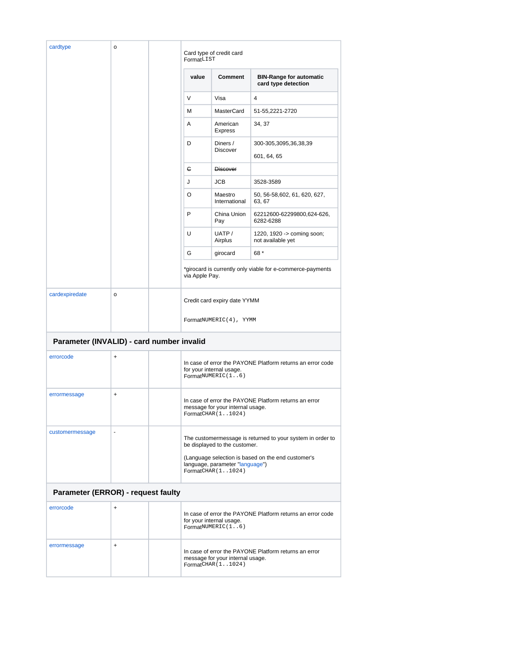<span id="page-2-1"></span><span id="page-2-0"></span>

| cardtype                                  | $\mathsf{o}\,$ | FormatLIST     | Card type of credit card                                    |                                                            |
|-------------------------------------------|----------------|----------------|-------------------------------------------------------------|------------------------------------------------------------|
|                                           |                | value          | Comment                                                     | <b>BIN-Range for automatic</b><br>card type detection      |
|                                           |                | V              | Visa                                                        | 4                                                          |
|                                           |                | м              | <b>MasterCard</b>                                           | 51-55,2221-2720                                            |
|                                           |                | Α              | American<br><b>Express</b>                                  | 34, 37                                                     |
|                                           |                | D              | Diners /<br><b>Discover</b>                                 | 300-305,3095,36,38,39<br>601, 64, 65                       |
|                                           |                | e              | <b>Discover</b>                                             |                                                            |
|                                           |                | J              | <b>JCB</b>                                                  | 3528-3589                                                  |
|                                           |                | O              | Maestro<br>International                                    | 50, 56-58, 602, 61, 620, 627,<br>63, 67                    |
|                                           |                | P              | China Union<br>Pay                                          | 62212600-62299800,624-626,<br>6282-6288                    |
|                                           |                | U              | UATP/<br>Airplus                                            | 1220, 1920 -> coming soon;<br>not available yet            |
|                                           |                | G              | girocard                                                    | 68 *                                                       |
|                                           |                | via Apple Pay. |                                                             | *girocard is currently only viable for e-commerce-payments |
| cardexpiredate                            | $\mathsf{o}$   |                | Credit card expiry date YYMM                                |                                                            |
|                                           |                |                | FormatNUMERIC(4), YYMM                                      |                                                            |
| Parameter (INVALID) - card number invalid |                |                |                                                             |                                                            |
| errorcode                                 | +              |                | for your internal usage.<br>FormatNUMERIC(16)               | In case of error the PAYONE Platform returns an error code |
| errormessage                              | $\ddot{}$      |                | message for your internal usage.<br>FormatCHAR (11024)      | In case of error the PAYONE Platform returns an error      |
| customermessage                           |                |                | be displayed to the customer.                               | The customermessage is returned to your system in order to |
|                                           |                |                | language, parameter "language")<br>FormatCHAR (11024)       | (Language selection is based on the end customer's         |
| Parameter (ERROR) - request faulty        |                |                |                                                             |                                                            |
| errorcode                                 | $\ddot{}$      |                | for your internal usage.<br>$Format$ <sup>NUMERIC(16)</sup> | In case of error the PAYONE Platform returns an error code |
| errormessage                              | $\ddot{}$      |                | message for your internal usage.<br>FormatCHAR (11024)      | In case of error the PAYONE Platform returns an error      |